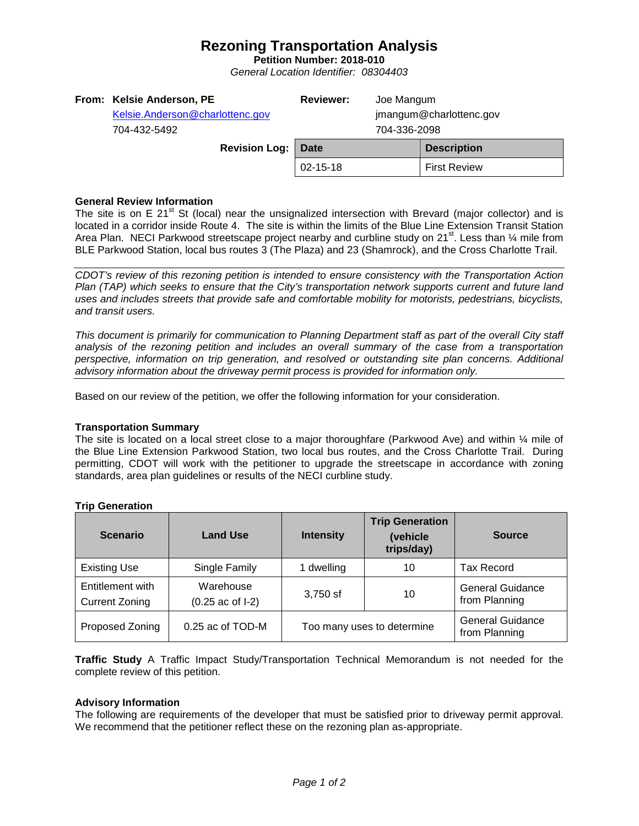## **Rezoning Transportation Analysis**

**Petition Number: 2018-010** *General Location Identifier: 08304403*

## **General Review Information**

The site is on E 21<sup>st</sup> St (local) near the unsignalized intersection with Brevard (major collector) and is located in a corridor inside Route 4. The site is within the limits of the Blue Line Extension Transit Station Area Plan. NECI Parkwood streetscape project nearby and curbline study on 21<sup>st</sup>. Less than  $\frac{1}{4}$  mile from BLE Parkwood Station, local bus routes 3 (The Plaza) and 23 (Shamrock), and the Cross Charlotte Trail.

*CDOT's review of this rezoning petition is intended to ensure consistency with the Transportation Action Plan (TAP) which seeks to ensure that the City's transportation network supports current and future land uses and includes streets that provide safe and comfortable mobility for motorists, pedestrians, bicyclists, and transit users.*

*This document is primarily for communication to Planning Department staff as part of the overall City staff analysis of the rezoning petition and includes an overall summary of the case from a transportation perspective, information on trip generation, and resolved or outstanding site plan concerns. Additional advisory information about the driveway permit process is provided for information only.*

Based on our review of the petition, we offer the following information for your consideration.

#### **Transportation Summary**

The site is located on a local street close to a major thoroughfare (Parkwood Ave) and within  $\frac{1}{4}$  mile of the Blue Line Extension Parkwood Station, two local bus routes, and the Cross Charlotte Trail. During permitting, CDOT will work with the petitioner to upgrade the streetscape in accordance with zoning standards, area plan guidelines or results of the NECI curbline study.

| <b>Scenario</b>                           | <b>Land Use</b>                         | <b>Intensity</b>           | <b>Trip Generation</b><br>(vehicle<br>trips/day) | <b>Source</b>                            |
|-------------------------------------------|-----------------------------------------|----------------------------|--------------------------------------------------|------------------------------------------|
| <b>Existing Use</b>                       | Single Family                           | 1 dwelling                 | 10                                               | <b>Tax Record</b>                        |
| Entitlement with<br><b>Current Zoning</b> | Warehouse<br>$(0.25 \text{ ac of } -1)$ | 3,750 sf                   | 10                                               | <b>General Guidance</b><br>from Planning |
| Proposed Zoning                           | 0.25 ac of TOD-M                        | Too many uses to determine |                                                  | <b>General Guidance</b><br>from Planning |

#### **Trip Generation**

**Traffic Study** A Traffic Impact Study/Transportation Technical Memorandum is not needed for the complete review of this petition.

## **Advisory Information**

The following are requirements of the developer that must be satisfied prior to driveway permit approval. We recommend that the petitioner reflect these on the rezoning plan as-appropriate.